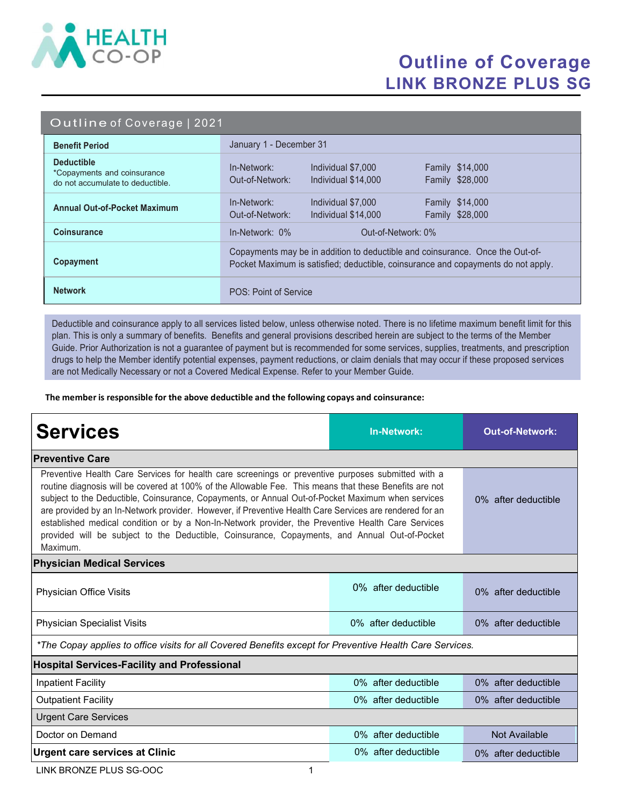

## Outline of Coverage LINK BRONZE PLUS SG

#### Outline of Coverage | 2021

| <b>Benefit Period</b>                                                                | January 1 - December 31                                                                                                                                            |  |  |
|--------------------------------------------------------------------------------------|--------------------------------------------------------------------------------------------------------------------------------------------------------------------|--|--|
| <b>Deductible</b><br>*Copayments and coinsurance<br>do not accumulate to deductible. | Individual \$7,000<br><b>Family \$14,000</b><br>In-Network:<br>Out-of-Network:<br>Family \$28,000<br>Individual \$14,000                                           |  |  |
| <b>Annual Out-of-Pocket Maximum</b>                                                  | <b>Family \$14,000</b><br>In-Network:<br>Individual \$7,000<br>Family \$28,000<br>Out-of-Network:<br>Individual \$14,000                                           |  |  |
| <b>Coinsurance</b>                                                                   | In-Network: 0%<br>Out-of-Network: 0%                                                                                                                               |  |  |
| Copayment                                                                            | Copayments may be in addition to deductible and coinsurance. Once the Out-of-<br>Pocket Maximum is satisfied; deductible, coinsurance and copayments do not apply. |  |  |
| <b>Network</b>                                                                       | POS: Point of Service                                                                                                                                              |  |  |

Deductible and coinsurance apply to all services listed below, unless otherwise noted. There is no lifetime maximum benefit limit for this plan. This is only a summary of benefits. Benefits and general provisions described herein are subject to the terms of the Member Guide. Prior Authorization is not a guarantee of payment but is recommended for some services, supplies, treatments, and prescription drugs to help the Member identify potential expenses, payment reductions, or claim denials that may occur if these proposed services are not Medically Necessary or not a Covered Medical Expense. Refer to your Member Guide.

The member is responsible for the above deductible and the following copays and coinsurance:

| <b>Services</b>                                                                                                                                                                                                                                                                                                                                                                                                                                                                                                                                                                                                                                 | <b>In-Network:</b>     | <b>Out-of-Network:</b> |  |  |
|-------------------------------------------------------------------------------------------------------------------------------------------------------------------------------------------------------------------------------------------------------------------------------------------------------------------------------------------------------------------------------------------------------------------------------------------------------------------------------------------------------------------------------------------------------------------------------------------------------------------------------------------------|------------------------|------------------------|--|--|
| <b>Preventive Care</b>                                                                                                                                                                                                                                                                                                                                                                                                                                                                                                                                                                                                                          |                        |                        |  |  |
| Preventive Health Care Services for health care screenings or preventive purposes submitted with a<br>routine diagnosis will be covered at 100% of the Allowable Fee. This means that these Benefits are not<br>subject to the Deductible, Coinsurance, Copayments, or Annual Out-of-Pocket Maximum when services<br>are provided by an In-Network provider. However, if Preventive Health Care Services are rendered for an<br>established medical condition or by a Non-In-Network provider, the Preventive Health Care Services<br>provided will be subject to the Deductible, Coinsurance, Copayments, and Annual Out-of-Pocket<br>Maximum. | 0% after deductible    |                        |  |  |
| <b>Physician Medical Services</b>                                                                                                                                                                                                                                                                                                                                                                                                                                                                                                                                                                                                               |                        |                        |  |  |
| Physician Office Visits                                                                                                                                                                                                                                                                                                                                                                                                                                                                                                                                                                                                                         | $0\%$ after deductible | 0% after deductible    |  |  |
| <b>Physician Specialist Visits</b>                                                                                                                                                                                                                                                                                                                                                                                                                                                                                                                                                                                                              | 0% after deductible    | 0% after deductible    |  |  |
| *The Copay applies to office visits for all Covered Benefits except for Preventive Health Care Services.                                                                                                                                                                                                                                                                                                                                                                                                                                                                                                                                        |                        |                        |  |  |
| <b>Hospital Services-Facility and Professional</b>                                                                                                                                                                                                                                                                                                                                                                                                                                                                                                                                                                                              |                        |                        |  |  |
| <b>Inpatient Facility</b>                                                                                                                                                                                                                                                                                                                                                                                                                                                                                                                                                                                                                       | 0% after deductible    | 0% after deductible    |  |  |
| <b>Outpatient Facility</b>                                                                                                                                                                                                                                                                                                                                                                                                                                                                                                                                                                                                                      | 0% after deductible    | 0% after deductible    |  |  |
| <b>Urgent Care Services</b>                                                                                                                                                                                                                                                                                                                                                                                                                                                                                                                                                                                                                     |                        |                        |  |  |
| Doctor on Demand                                                                                                                                                                                                                                                                                                                                                                                                                                                                                                                                                                                                                                | 0% after deductible    | Not Available          |  |  |
| <b>Urgent care services at Clinic</b>                                                                                                                                                                                                                                                                                                                                                                                                                                                                                                                                                                                                           | 0% after deductible    | 0% after deductible    |  |  |

LINK BRONZE PLUS SG-OOC 1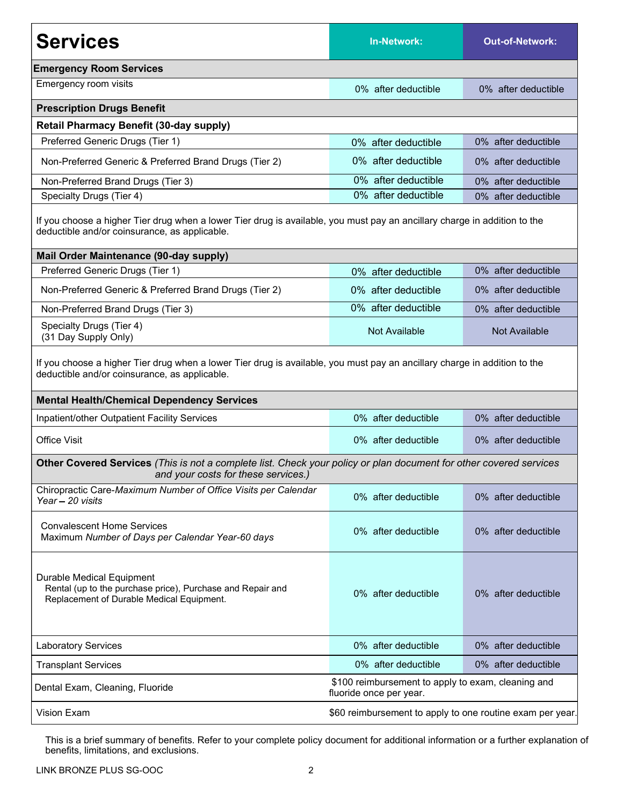| <b>Services</b>                                                                                                                                                            | <b>In-Network:</b>  | <b>Out-of-Network:</b> |  |  |
|----------------------------------------------------------------------------------------------------------------------------------------------------------------------------|---------------------|------------------------|--|--|
| <b>Emergency Room Services</b>                                                                                                                                             |                     |                        |  |  |
| Emergency room visits                                                                                                                                                      | 0% after deductible | 0% after deductible    |  |  |
| <b>Prescription Drugs Benefit</b>                                                                                                                                          |                     |                        |  |  |
| <b>Retail Pharmacy Benefit (30-day supply)</b>                                                                                                                             |                     |                        |  |  |
| Preferred Generic Drugs (Tier 1)                                                                                                                                           | 0% after deductible | 0% after deductible    |  |  |
| Non-Preferred Generic & Preferred Brand Drugs (Tier 2)                                                                                                                     | 0% after deductible | 0% after deductible    |  |  |
| Non-Preferred Brand Drugs (Tier 3)                                                                                                                                         | 0% after deductible | 0% after deductible    |  |  |
| Specialty Drugs (Tier 4)                                                                                                                                                   | 0% after deductible | 0% after deductible    |  |  |
| If you choose a higher Tier drug when a lower Tier drug is available, you must pay an ancillary charge in addition to the<br>deductible and/or coinsurance, as applicable. |                     |                        |  |  |
| Mail Order Maintenance (90-day supply)                                                                                                                                     |                     |                        |  |  |
| Preferred Generic Drugs (Tier 1)                                                                                                                                           | 0% after deductible | 0% after deductible    |  |  |
| Non-Preferred Generic & Preferred Brand Drugs (Tier 2)                                                                                                                     | 0% after deductible | 0% after deductible    |  |  |
| Non-Preferred Brand Drugs (Tier 3)                                                                                                                                         | 0% after deductible | 0% after deductible    |  |  |
| Specialty Drugs (Tier 4)<br>(31 Day Supply Only)                                                                                                                           | Not Available       | <b>Not Available</b>   |  |  |
| If you choose a higher Tier drug when a lower Tier drug is available, you must pay an ancillary charge in addition to the<br>deductible and/or coinsurance, as applicable. |                     |                        |  |  |
| <b>Mental Health/Chemical Dependency Services</b><br>Inpatient/other Outpatient Facility Services                                                                          |                     |                        |  |  |
|                                                                                                                                                                            | 0% after deductible | 0% after deductible    |  |  |
| <b>Office Visit</b>                                                                                                                                                        | 0% after deductible | 0% after deductible    |  |  |
| Other Covered Services (This is not a complete list. Check your policy or plan document for other covered services<br>and your costs for these services.)                  |                     |                        |  |  |
| Chiropractic Care-Maximum Number of Office Visits per Calendar<br>Year - 20 visits                                                                                         | 0% after deductible | 0% after deductible    |  |  |
| <b>Convalescent Home Services</b><br>Maximum Number of Days per Calendar Year-60 days                                                                                      | 0% after deductible | 0% after deductible    |  |  |
| <b>Durable Medical Equipment</b><br>Rental (up to the purchase price), Purchase and Repair and<br>Replacement of Durable Medical Equipment.                                | 0% after deductible | 0% after deductible    |  |  |
| <b>Laboratory Services</b>                                                                                                                                                 | 0% after deductible | 0% after deductible    |  |  |
| <b>Transplant Services</b>                                                                                                                                                 | 0% after deductible | 0% after deductible    |  |  |
| \$100 reimbursement to apply to exam, cleaning and<br>Dental Exam, Cleaning, Fluoride<br>fluoride once per year.                                                           |                     |                        |  |  |
| Vision Exam<br>\$60 reimbursement to apply to one routine exam per year.                                                                                                   |                     |                        |  |  |

This is a brief summary of benefits. Refer to your complete policy document for additional information or a further explanation of benefits, limitations, and exclusions.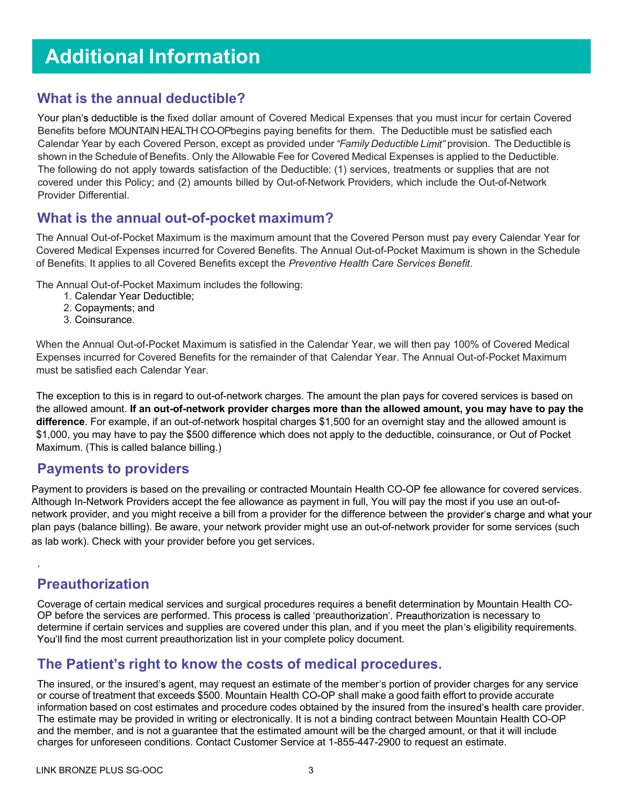# Additional Information

#### What is the annual deductible?

Your plan's deductible is the fixed dollar amount of Covered Medical Expenses that you must incur for certain Covered Benefits before MOUNTAIN HEALTH CO-OPbegins paying benefits for them. The Deductible must be satisfied each Calendar Year by each Covered Person, except as provided under "Family Deductible Limit" provision. The Deductible is shown in the Schedule of Benefits. Only the Allowable Fee for Covered Medical Expenses is applied to the Deductible. The following do not apply towards satisfaction of the Deductible: (1) services, treatments or supplies that are not covered under this Policy; and (2) amounts billed by Out-of-Network Providers, which include the Out-of-Network Provider Differential.

#### What is the annual out-of-pocket maximum?

The Annual Out-of-Pocket Maximum is the maximum amount that the Covered Person must pay every Calendar Year for Covered Medical Expenses incurred for Covered Benefits. The Annual Out-of-Pocket Maximum is shown in the Schedule of Benefits. It applies to all Covered Benefits except the Preventive Health Care Services Benefit.

The Annual Out-of-Pocket Maximum includes the following:

- 1. Calendar Year Deductible;
- 2. Copayments; and
- 3. Coinsurance.

When the Annual Out-of-Pocket Maximum is satisfied in the Calendar Year, we will then pay 100% of Covered Medical Expenses incurred for Covered Benefits for the remainder of that Calendar Year. The Annual Out-of-Pocket Maximum must be satisfied each Calendar Year.

The exception to this is in regard to out-of-network charges. The amount the plan pays for covered services is based on the allowed amount. If an out-of-network provider charges more than the allowed amount, you may have to pay the difference. For example, if an out-of-network hospital charges \$1,500 for an overnight stay and the allowed amount is \$1,000, you may have to pay the \$500 difference which does not apply to the deductible, coinsurance, or Out of Pocket Maximum. (This is called balance billing.)

#### Payments to providers

Payment to providers is based on the prevailing or contracted Mountain Health CO-OP fee allowance for covered services. Although In-Network Providers accept the fee allowance as payment in full, You will pay the most if you use an out-ofnetwork provider, and you might receive a bill from a provider for the difference between the provider's charge and what your plan pays (balance billing). Be aware, your network provider might use an out-of-network provider for some services (such as lab work). Check with your provider before you get services.

### Preauthorization

.

Coverage of certain medical services and surgical procedures requires a benefit determination by Mountain Health CO-OP before the services are performed. This process is called 'preauthorization'. Preauthorization is necessary to determine if certain services and supplies are covered under this plan, and if you meet the plan's eligibility requirements. You'll find the most current preauthorization list in your complete policy document.

### The Patient's right to know the costs of medical procedures.

The insured, or the insured's agent, may request an estimate of the member's portion of provider charges for any service or course of treatment that exceeds \$500. Mountain Health CO-OP shall make a good faith effort to provide accurate information based on cost estimates and procedure codes obtained by the insured from the insured's health care provider. The estimate may be provided in writing or electronically. It is not a binding contract between Mountain Health CO-OP and the member, and is not a guarantee that the estimated amount will be the charged amount, or that it will include charges for unforeseen conditions. Contact Customer Service at 1-855-447-2900 to request an estimate.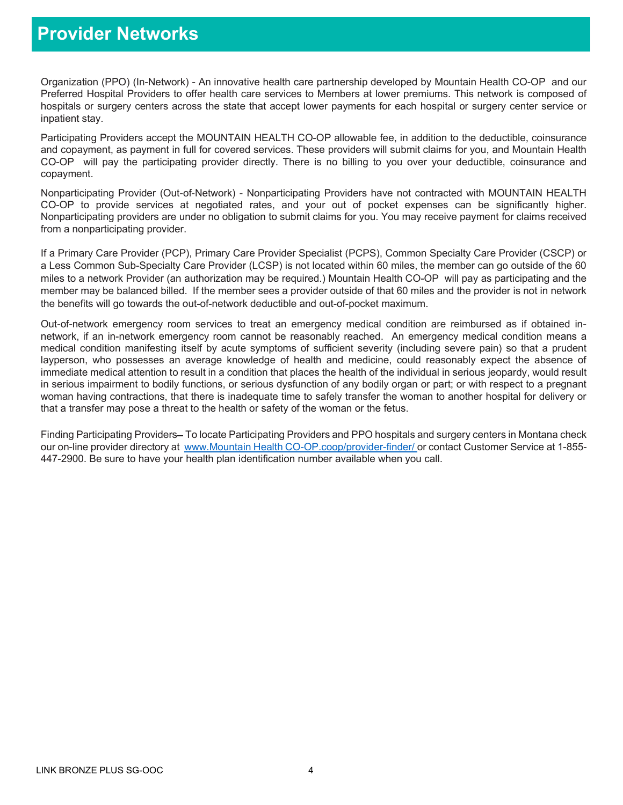## Provider Networks

Organization (PPO) (In-Network) - An innovative health care partnership developed by Mountain Health CO-OP and our Preferred Hospital Providers to offer health care services to Members at lower premiums. This network is composed of hospitals or surgery centers across the state that accept lower payments for each hospital or surgery center service or inpatient stay.

Participating Providers accept the MOUNTAIN HEALTH CO-OP allowable fee, in addition to the deductible, coinsurance and copayment, as payment in full for covered services. These providers will submit claims for you, and Mountain Health CO-OP will pay the participating provider directly. There is no billing to you over your deductible, coinsurance and copayment.

Nonparticipating Provider (Out-of-Network) - Nonparticipating Providers have not contracted with MOUNTAIN HEALTH CO-OP to provide services at negotiated rates, and your out of pocket expenses can be significantly higher. Nonparticipating providers are under no obligation to submit claims for you. You may receive payment for claims received from a nonparticipating provider.

If a Primary Care Provider (PCP), Primary Care Provider Specialist (PCPS), Common Specialty Care Provider (CSCP) or a Less Common Sub-Specialty Care Provider (LCSP) is not located within 60 miles, the member can go outside of the 60 miles to a network Provider (an authorization may be required.) Mountain Health CO-OP will pay as participating and the member may be balanced billed. If the member sees a provider outside of that 60 miles and the provider is not in network the benefits will go towards the out-of-network deductible and out-of-pocket maximum.

Out-of-network emergency room services to treat an emergency medical condition are reimbursed as if obtained innetwork, if an in-network emergency room cannot be reasonably reached. An emergency medical condition means a medical condition manifesting itself by acute symptoms of sufficient severity (including severe pain) so that a prudent layperson, who possesses an average knowledge of health and medicine, could reasonably expect the absence of immediate medical attention to result in a condition that places the health of the individual in serious jeopardy, would result in serious impairment to bodily functions, or serious dysfunction of any bodily organ or part; or with respect to a pregnant woman having contractions, that there is inadequate time to safely transfer the woman to another hospital for delivery or that a transfer may pose a threat to the health or safety of the woman or the fetus.

Finding Participating Providers–To locate Participating Providers and PPO hospitals and surgery centers in Montana check our on-line provider directory at www.Mountain Health CO-OP.coop/provider-finder/ or contact Customer Service at 1-855-447-2900. Be sure to have your health plan identification number available when you call.